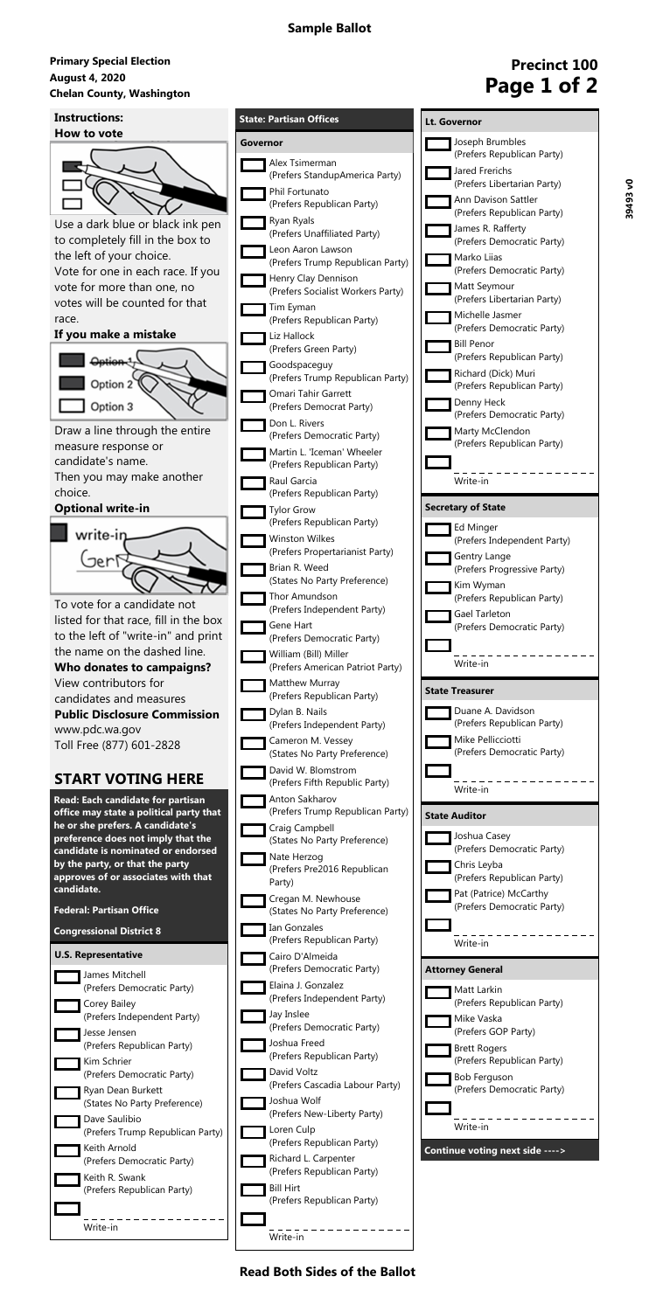#### **August 4, 2020 Primary Special Election** August 4, 2020<br>Chelan County, Washington<br> **Chelan County, Washington**

**Read Both Sides of the Ballot**

# **Precinct 100**

| <b>Instructions:</b>                                                   | <b>State: Partisan Offices</b>                            |               |
|------------------------------------------------------------------------|-----------------------------------------------------------|---------------|
| How to vote                                                            | Governor                                                  |               |
|                                                                        | Alex Tsimerman                                            |               |
|                                                                        | (Prefers StandupAmerica Party)                            |               |
|                                                                        | Phil Fortunato<br>(Prefers Republican Party)              |               |
| Use a dark blue or black ink pen                                       | Ryan Ryals<br>(Prefers Unaffiliated Party)                |               |
| to completely fill in the box to                                       | Leon Aaron Lawson                                         |               |
| the left of your choice.                                               | (Prefers Trump Republican Party)                          |               |
| Vote for one in each race. If you<br>vote for more than one, no        | Henry Clay Dennison                                       |               |
| votes will be counted for that                                         | (Prefers Socialist Workers Party)<br>Tim Eyman            |               |
| race.                                                                  | (Prefers Republican Party)                                |               |
| If you make a mistake                                                  | Liz Hallock                                               |               |
|                                                                        | (Prefers Green Party)<br>Goodspaceguy                     |               |
| Option 2                                                               | (Prefers Trump Republican Party)                          |               |
|                                                                        | Omari Tahir Garrett                                       |               |
| Option 3                                                               | (Prefers Democrat Party)<br>Don L. Rivers                 |               |
| Draw a line through the entire                                         | (Prefers Democratic Party)                                |               |
| measure response or<br>candidate's name.                               | Martin L. 'Iceman' Wheeler                                |               |
| Then you may make another                                              | (Prefers Republican Party)<br>Raul Garcia                 |               |
| choice.                                                                | (Prefers Republican Party)                                |               |
| <b>Optional write-in</b>                                               | <b>Tylor Grow</b>                                         | <b>Secret</b> |
| write-in                                                               | (Prefers Republican Party)                                |               |
|                                                                        | <b>Winston Wilkes</b><br>(Prefers Propertarianist Party)  |               |
| Jerl                                                                   | Brian R. Weed                                             |               |
|                                                                        | (States No Party Preference)                              |               |
| To vote for a candidate not                                            | Thor Amundson<br>(Prefers Independent Party)              |               |
| listed for that race, fill in the box                                  | Gene Hart                                                 |               |
| to the left of "write-in" and print                                    | (Prefers Democratic Party)                                |               |
| the name on the dashed line.<br>Who donates to campaigns?              | William (Bill) Miller<br>(Prefers American Patriot Party) |               |
| View contributors for                                                  | Matthew Murray                                            |               |
| candidates and measures                                                | (Prefers Republican Party)                                | <b>State</b>  |
| <b>Public Disclosure Commission</b>                                    | Dylan B. Nails<br>(Prefers Independent Party)             |               |
| www.pdc.wa.gov                                                         | Cameron M. Vessey                                         |               |
| Toll Free (877) 601-2828                                               | (States No Party Preference)                              |               |
| <b>START VOTING HERE</b>                                               | David W. Blomstrom<br>(Prefers Fifth Republic Party)      |               |
| Read: Each candidate for partisan                                      | Anton Sakharov                                            |               |
| office may state a political party that                                | (Prefers Trump Republican Party)                          | State         |
| he or she prefers. A candidate's<br>preference does not imply that the | Craig Campbell<br>(States No Party Preference)            |               |
| candidate is nominated or endorsed                                     | Nate Herzog                                               |               |
| by the party, or that the party<br>approves of or associates with that | (Prefers Pre2016 Republican                               |               |
| candidate.                                                             | Party)                                                    |               |
|                                                                        |                                                           |               |
| <b>Federal: Partisan Office</b>                                        | Cregan M. Newhouse<br>(States No Party Preference)        |               |



| <u>Lt. Governor</u>                                  |
|------------------------------------------------------|
| Joseph Brumbles<br>(Prefers Republican Party)        |
| Jared Frerichs<br>(Prefers Libertarian Party)        |
| Ann Davison Sattler<br>(Prefers Republican Party)    |
| James R. Rafferty<br>(Prefers Democratic Party)      |
| Marko Lijas<br>(Prefers Democratic Party)            |
| Matt Seymour<br>(Prefers Libertarian Party)          |
| Michelle Jasmer<br>(Prefers Democratic Party)        |
| <b>Bill Penor</b><br>(Prefers Republican Party)      |
| Richard (Dick) Muri<br>(Prefers Republican Party)    |
| Denny Heck<br>(Prefers Democratic Party)             |
| Marty McClendon<br>(Prefers Republican Party)        |
| Write-in                                             |
| <b>Secretary of State</b>                            |
|                                                      |
| Ed Minger<br>(Prefers Independent Party)             |
| Gentry Lange<br>(Prefers Progressive Party)          |
| Kim Wyman<br>(Prefers Republican Party)              |
| Gael Tarleton<br>(Prefers Democratic Party)          |
| Write-in                                             |
| <b>State Treasurer</b>                               |
| Duane A. Davidson<br>(Prefers Republican Party)      |
|                                                      |
| Mike Pellicciotti<br>(Prefers Democratic Party)      |
|                                                      |
| Write-in                                             |
| <b>State Auditor</b>                                 |
| Joshua Casey<br>(Prefers Democratic Party)           |
| Chris Leyba<br>(Prefers Republican Party)            |
| Pat (Patrice) McCarthy<br>(Prefers Democratic Party) |
| Write-in                                             |